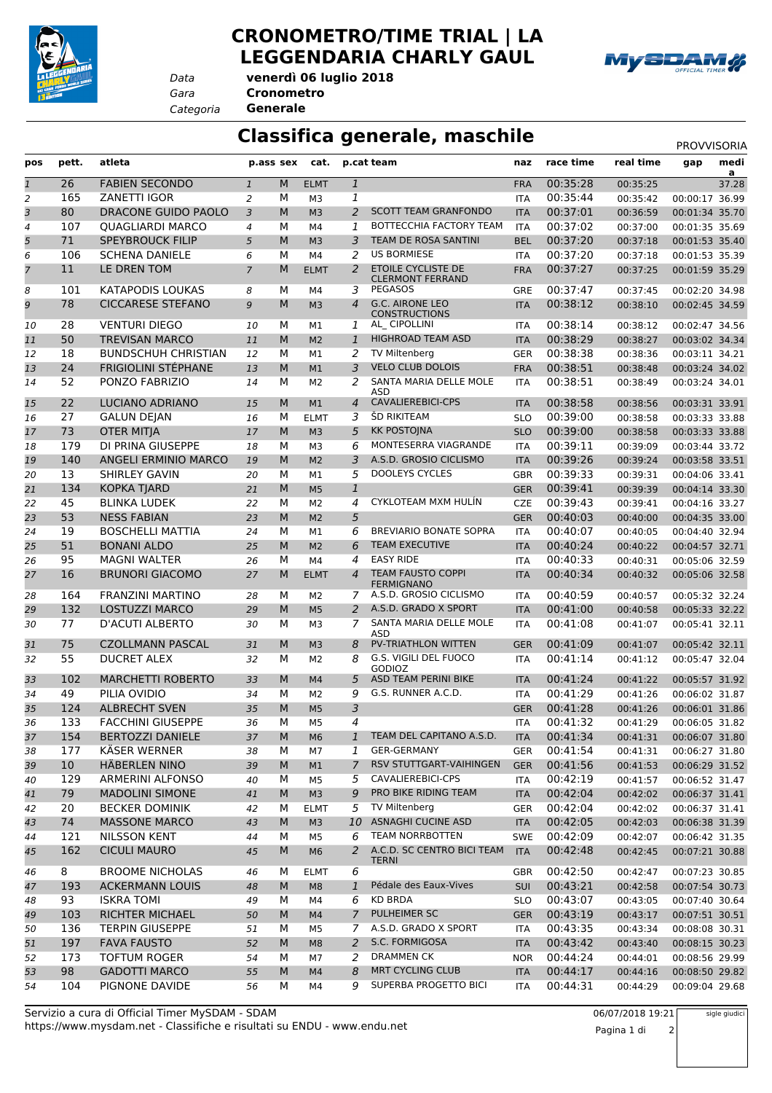

## **CRONOMETRO/TIME TRIAL | LA LEGGENDARIA CHARLY GAUL**



*Data*

*Gara* **Cronometro venerdì 06 luglio 2018**

*Categoria* **Generale**

## **Classifica generale, maschile** PROVVISORIA

| pos          | pett.           | atleta                     | p.ass sex      |           | cat.           | p.cat team     |                                                         | naz        | race time            | real time                 | gap            | medi<br>$\overline{a}$ |
|--------------|-----------------|----------------------------|----------------|-----------|----------------|----------------|---------------------------------------------------------|------------|----------------------|---------------------------|----------------|------------------------|
| $\mathbf{1}$ | 26              | <b>FABIEN SECONDO</b>      | $\mathbf{1}$   | M         | <b>ELMT</b>    | $\mathbf{1}$   |                                                         | <b>FRA</b> | 00:35:28             | 00:35:25                  |                | 37.28                  |
| 2            | 165             | <b>ZANETTI IGOR</b>        | $\overline{2}$ | М         | M <sub>3</sub> | $\mathbf{1}$   |                                                         | <b>ITA</b> | 00:35:44             | 00:35:42                  | 00:00:17 36.99 |                        |
| 3            | 80              | DRACONE GUIDO PAOLO        | 3              | M         | M <sub>3</sub> | 2              | <b>SCOTT TEAM GRANFONDO</b>                             | <b>ITA</b> | 00:37:01             | 00:36:59                  | 00:01:34 35.70 |                        |
| 4            | 107             | <b>QUAGLIARDI MARCO</b>    | $\overline{4}$ | м         | M4             | 1              | BOTTECCHIA FACTORY TEAM                                 | <b>ITA</b> | 00:37:02             | 00:37:00                  | 00:01:35 35.69 |                        |
| 5            | 71              | <b>SPEYBROUCK FILIP</b>    | 5              | M         | M <sub>3</sub> | 3              | TEAM DE ROSA SANTINI                                    | <b>BEL</b> | 00:37:20             | 00:37:18                  | 00:01:53 35.40 |                        |
| 6            | 106             | <b>SCHENA DANIELE</b>      | 6              | М         | M <sub>4</sub> | 2              | <b>US BORMIESE</b>                                      | ITA        | 00:37:20             | 00:37:18                  | 00:01:53 35.39 |                        |
| 7            | 11              | LE DREN TOM                | $\overline{7}$ | M         | <b>ELMT</b>    | 2              | ETOILE CYCLISTE DE<br><b>CLERMONT FERRAND</b>           | <b>FRA</b> | 00:37:27             | 00:37:25                  | 00:01:59 35.29 |                        |
| 8            | 101             | KATAPODIS LOUKAS           | 8              | M         | M4             | 3              | <b>PEGASOS</b>                                          | GRE        | 00:37:47             | 00:37:45                  | 00:02:20 34.98 |                        |
| 9            | 78              | <b>CICCARESE STEFANO</b>   | 9              | M         | M <sub>3</sub> | $\overline{4}$ | <b>G.C. AIRONE LEO</b><br><b>CONSTRUCTIONS</b>          | <b>ITA</b> | 00:38:12             | 00:38:10                  | 00:02:45 34.59 |                        |
| 10           | 28              | <b>VENTURI DIEGO</b>       | 10             | м         | М1             | 1              | AL CIPOLLINI                                            | <b>ITA</b> | 00:38:14             | 00:38:12                  | 00:02:47 34.56 |                        |
| 11           | 50              | <b>TREVISAN MARCO</b>      | 11             | M         | M <sub>2</sub> | $\mathbf{1}$   | <b>HIGHROAD TEAM ASD</b>                                | <b>ITA</b> | 00:38:29             | 00:38:27                  | 00:03:02 34.34 |                        |
| 12           | 18              | <b>BUNDSCHUH CHRISTIAN</b> | 12             | М         | M1             | 2              | <b>TV Miltenberg</b>                                    | <b>GER</b> | 00:38:38             | 00:38:36                  | 00:03:11 34.21 |                        |
| 13           | 24              | <b>FRIGIOLINI STÉPHANE</b> | 13             | M         | M1             | 3              | <b>VELO CLUB DOLOIS</b>                                 | <b>FRA</b> | 00:38:51             | 00:38:48                  | 00:03:24 34.02 |                        |
| 14           | 52              | PONZO FABRIZIO             | 14             | М         | M <sub>2</sub> | 2              | SANTA MARIA DELLE MOLE<br><b>ASD</b>                    | <b>ITA</b> | 00:38:51             | 00:38:49                  | 00:03:24 34.01 |                        |
| 15           | 22              | LUCIANO ADRIANO            | 15             | M         | M1             | 4              | <b>CAVALIEREBICI-CPS</b>                                | <b>ITA</b> | 00:38:58             | 00:38:56                  | 00:03:31 33.91 |                        |
| 16           | 27              | <b>GALUN DEJAN</b>         | 16             | M         | <b>ELMT</b>    | 3              | ŠD RIKITEAM                                             | <b>SLO</b> | 00:39:00             | 00:38:58                  | 00:03:33 33.88 |                        |
| 17           | 73              | <b>OTER MITJA</b>          | 17             | M         | M <sub>3</sub> | 5              | <b>KK POSTOJNA</b>                                      | <b>SLO</b> | 00:39:00             | 00:38:58                  | 00:03:33 33.88 |                        |
| 18           | 179             | DI PRINA GIUSEPPE          | 18             | M         | M3             | 6              | MONTESERRA VIAGRANDE                                    | <b>ITA</b> | 00:39:11             | 00:39:09                  | 00:03:44 33.72 |                        |
| 19           | 140             | ANGELI ERMINIO MARCO       | 19             | M         | M <sub>2</sub> | 3              | A.S.D. GROSIO CICLISMO                                  | <b>ITA</b> | 00:39:26             | 00:39:24                  | 00:03:58 33.51 |                        |
| 20           | 13              | <b>SHIRLEY GAVIN</b>       | 20             | м         | M1             | 5              | <b>DOOLEYS CYCLES</b>                                   | <b>GBR</b> | 00:39:33             | 00:39:31                  | 00:04:06 33.41 |                        |
| 21           | 134             | <b>KOPKA TJARD</b>         | 21             | M         | M <sub>5</sub> | $\mathbf{1}$   |                                                         | <b>GER</b> | 00:39:41             | 00:39:39                  | 00:04:14 33.30 |                        |
| 22           | 45              | <b>BLINKA LUDEK</b>        | 22             | М         | M <sub>2</sub> | 4              | CYKLOTEAM MXM HULIN                                     | <b>CZE</b> | 00:39:43             | 00:39:41                  | 00:04:16 33.27 |                        |
| 23           | 53              | <b>NESS FABIAN</b>         | 23             | M         | M <sub>2</sub> | 5              |                                                         | <b>GER</b> | 00:40:03             | 00:40:00                  | 00:04:35 33.00 |                        |
| 24           | 19              | <b>BOSCHELLI MATTIA</b>    | 24             | М         | M1             | 6              | <b>BREVIARIO BONATE SOPRA</b>                           | <b>ITA</b> | 00:40:07             | 00:40:05                  | 00:04:40 32.94 |                        |
| 25           | 51              | <b>BONANI ALDO</b>         | 25             | M         | M <sub>2</sub> | 6              | <b>TEAM EXECUTIVE</b>                                   | <b>ITA</b> | 00:40:24             | 00:40:22                  | 00:04:57 32.71 |                        |
| 26           | 95              | <b>MAGNI WALTER</b>        | 26             | м         | M4             | $\overline{4}$ | <b>EASY RIDE</b>                                        | <b>ITA</b> | 00:40:33             | 00:40:31                  | 00:05:06 32.59 |                        |
| 27           | 16              | <b>BRUNORI GIACOMO</b>     | 27             | M         | <b>ELMT</b>    | $\overline{4}$ | <b>TEAM FAUSTO COPPI</b><br><b>FERMIGNANO</b>           | <b>ITA</b> | 00:40:34             | 00:40:32                  | 00:05:06 32.58 |                        |
| 28           | 164             | <b>FRANZINI MARTINO</b>    | 28             | М         | M <sub>2</sub> | 7              | A.S.D. GROSIO CICLISMO                                  | <b>ITA</b> | 00:40:59             | 00:40:57                  | 00:05:32 32.24 |                        |
| 29           | 132             | <b>LOSTUZZI MARCO</b>      | 29             | M         | M <sub>5</sub> | 2              | A.S.D. GRADO X SPORT                                    | <b>ITA</b> | 00:41:00             | 00:40:58                  | 00:05:33 32.22 |                        |
| 30           | 77              | D'ACUTI ALBERTO            | 30             | М         | M3             | 7              | SANTA MARIA DELLE MOLE<br>ASD                           | <b>ITA</b> | 00:41:08             | 00:41:07                  | 00:05:41 32.11 |                        |
| 31           | 75              | <b>CZOLLMANN PASCAL</b>    | 31             | M         | M <sub>3</sub> | 8              | PV-TRIATHLON WITTEN                                     | <b>GER</b> | 00:41:09             | 00:41:07                  | 00:05:42 32.11 |                        |
| 32           | 55<br>102       | <b>DUCRET ALEX</b>         | 32<br>33       | М<br>M    | M2             | 8<br>5         | G.S. VIGILI DEL FUOCO<br>GODIOZ<br>ASD TEAM PERINI BIKE | ITA        | 00:41:14<br>00:41:24 | 00:41:12<br>00:41:22      | 00:05:47 32.04 |                        |
| 33           |                 | <b>MARCHETTI ROBERTO</b>   |                |           | M4             |                |                                                         | <b>ITA</b> |                      |                           | 00:05:57 31.92 |                        |
| 34           | 49              | PILIA OVIDIO               | 34             | м         | M2             | 9              | G.S. RUNNER A.C.D.                                      | <b>ITA</b> | 00:41:29             | 00:41:26                  | 00:06:02 31.87 |                        |
| 35           | 124             | <b>ALBRECHT SVEN</b>       | 35             | M         | M <sub>5</sub> | 3              |                                                         | <b>GER</b> | 00:41:28             | 00:41:26                  | 00:06:01 31.86 |                        |
| 36           | 133             | <b>FACCHINI GIUSEPPE</b>   | 36             | м         | M <sub>5</sub> | $\overline{4}$ |                                                         | <b>ITA</b> | 00:41:32             | 00:41:29                  | 00:06:05 31.82 |                        |
| 37           | 154             | <b>BERTOZZI DANIELE</b>    | 37             | ${\sf M}$ | M <sub>6</sub> |                | 1 TEAM DEL CAPITANO A.S.D.                              | <b>ITA</b> | 00:41:34             | 00:41:31  00:06:07  31.80 |                |                        |
| 38           | 177             | KÄSER WERNER               | 38             | м         | M7             | 1              | <b>GER-GERMANY</b>                                      | <b>GER</b> | 00:41:54             | 00:41:31                  | 00:06:27 31.80 |                        |
| 39           | 10 <sup>°</sup> | <b>HÄBERLEN NINO</b>       | 39             | M         | M1             | 7              | RSV STUTTGART-VAIHINGEN                                 | <b>GER</b> | 00:41:56             | 00:41:53                  | 00:06:29 31.52 |                        |
| 40           | 129             | ARMERINI ALFONSO           | 40             | м         | M <sub>5</sub> | 5              | CAVALIEREBICI-CPS                                       | ITA        | 00:42:19             | 00:41:57                  | 00:06:52 31.47 |                        |
| 41           | 79              | <b>MADOLINI SIMONE</b>     | 41             | M         | M <sub>3</sub> | 9              | PRO BIKE RIDING TEAM                                    | <b>ITA</b> | 00:42:04             | 00:42:02                  | 00:06:37 31.41 |                        |
| 42           | 20              | <b>BECKER DOMINIK</b>      | 42             | М         | <b>ELMT</b>    | 5              | TV Miltenberg                                           | <b>GER</b> | 00:42:04             | 00:42:02                  | 00:06:37 31.41 |                        |
| 43           | 74              | <b>MASSONE MARCO</b>       | 43             | M         | M <sub>3</sub> | 10             | ASNAGHI CUCINE ASD                                      | <b>ITA</b> | 00:42:05             | 00:42:03                  | 00:06:38 31.39 |                        |
| 44           | 121             | <b>NILSSON KENT</b>        | 44             | м         | M5             | 6              | TEAM NORRBOTTEN                                         | <b>SWE</b> | 00:42:09             | 00:42:07                  | 00:06:42 31.35 |                        |
| 45           | 162             | <b>CICULI MAURO</b>        | 45             | M         | M <sub>6</sub> | 2              | A.C.D. SC CENTRO BICI TEAM<br>TERNI                     | <b>ITA</b> | 00:42:48             | 00:42:45                  | 00:07:21 30.88 |                        |
| 46           | 8               | <b>BROOME NICHOLAS</b>     | 46             | м         | ELMT           | 6              |                                                         | <b>GBR</b> | 00:42:50             | 00:42:47                  | 00:07:23 30.85 |                        |
| 47           | 193             | <b>ACKERMANN LOUIS</b>     | 48             | M         | M <sub>8</sub> | $\mathbf{1}$   | Pédale des Eaux-Vives                                   | <b>SUI</b> | 00:43:21             | 00:42:58                  | 00:07:54 30.73 |                        |
| 48           | 93              | <b>ISKRA TOMI</b>          | 49             | м         | M4             | 6              | <b>KD BRDA</b>                                          | <b>SLO</b> | 00:43:07             | 00:43:05                  | 00:07:40 30.64 |                        |
| 49           | 103             | RICHTER MICHAEL            | 50             | M         | M4             | 7              | PULHEIMER SC                                            | <b>GER</b> | 00:43:19             | 00:43:17                  | 00:07:51 30.51 |                        |
| 50           | 136             | <b>TERPIN GIUSEPPE</b>     | 51             | М         | M5             | 7              | A.S.D. GRADO X SPORT                                    | ITA        | 00:43:35             | 00:43:34                  | 00:08:08 30.31 |                        |
| 51           | 197             | <b>FAVA FAUSTO</b>         | 52             | M         | M <sub>8</sub> | 2              | S.C. FORMIGOSA                                          | <b>ITA</b> | 00:43:42             | 00:43:40                  | 00:08:15 30.23 |                        |
| 52           | 173             | <b>TOFTUM ROGER</b>        | 54             | м         | M7             | 2              | <b>DRAMMEN CK</b>                                       | <b>NOR</b> | 00:44:24             | 00:44:01                  | 00:08:56 29.99 |                        |
| 53           | 98              | <b>GADOTTI MARCO</b>       | 55             | M         | M4             | 8              | <b>MRT CYCLING CLUB</b>                                 | <b>ITA</b> | 00:44:17             | 00:44:16                  | 00:08:50 29.82 |                        |
| 54           | 104             | PIGNONE DAVIDE             | 56             | м         | M4             | 9              | SUPERBA PROGETTO BICI                                   | ITA        | 00:44:31             | 00:44:29                  | 00:09:04 29.68 |                        |

sigle giudici